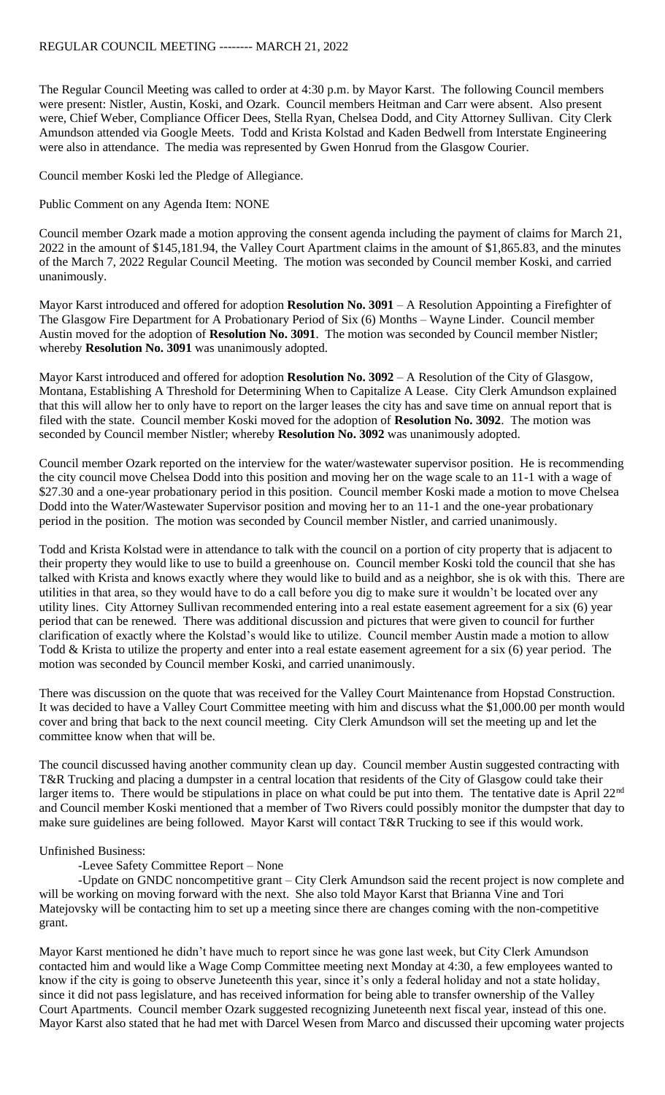The Regular Council Meeting was called to order at 4:30 p.m. by Mayor Karst. The following Council members were present: Nistler, Austin, Koski, and Ozark. Council members Heitman and Carr were absent. Also present were, Chief Weber, Compliance Officer Dees, Stella Ryan, Chelsea Dodd, and City Attorney Sullivan. City Clerk Amundson attended via Google Meets. Todd and Krista Kolstad and Kaden Bedwell from Interstate Engineering were also in attendance. The media was represented by Gwen Honrud from the Glasgow Courier.

Council member Koski led the Pledge of Allegiance.

Public Comment on any Agenda Item: NONE

Council member Ozark made a motion approving the consent agenda including the payment of claims for March 21, 2022 in the amount of \$145,181.94, the Valley Court Apartment claims in the amount of \$1,865.83, and the minutes of the March 7, 2022 Regular Council Meeting. The motion was seconded by Council member Koski, and carried unanimously.

Mayor Karst introduced and offered for adoption **Resolution No. 3091** – A Resolution Appointing a Firefighter of The Glasgow Fire Department for A Probationary Period of Six (6) Months – Wayne Linder. Council member Austin moved for the adoption of **Resolution No. 3091**. The motion was seconded by Council member Nistler; whereby **Resolution No. 3091** was unanimously adopted.

Mayor Karst introduced and offered for adoption **Resolution No. 3092** – A Resolution of the City of Glasgow, Montana, Establishing A Threshold for Determining When to Capitalize A Lease. City Clerk Amundson explained that this will allow her to only have to report on the larger leases the city has and save time on annual report that is filed with the state. Council member Koski moved for the adoption of **Resolution No. 3092**. The motion was seconded by Council member Nistler; whereby **Resolution No. 3092** was unanimously adopted.

Council member Ozark reported on the interview for the water/wastewater supervisor position. He is recommending the city council move Chelsea Dodd into this position and moving her on the wage scale to an 11-1 with a wage of \$27.30 and a one-year probationary period in this position. Council member Koski made a motion to move Chelsea Dodd into the Water/Wastewater Supervisor position and moving her to an 11-1 and the one-year probationary period in the position. The motion was seconded by Council member Nistler, and carried unanimously.

Todd and Krista Kolstad were in attendance to talk with the council on a portion of city property that is adjacent to their property they would like to use to build a greenhouse on. Council member Koski told the council that she has talked with Krista and knows exactly where they would like to build and as a neighbor, she is ok with this. There are utilities in that area, so they would have to do a call before you dig to make sure it wouldn't be located over any utility lines. City Attorney Sullivan recommended entering into a real estate easement agreement for a six (6) year period that can be renewed. There was additional discussion and pictures that were given to council for further clarification of exactly where the Kolstad's would like to utilize. Council member Austin made a motion to allow Todd & Krista to utilize the property and enter into a real estate easement agreement for a six (6) year period. The motion was seconded by Council member Koski, and carried unanimously.

There was discussion on the quote that was received for the Valley Court Maintenance from Hopstad Construction. It was decided to have a Valley Court Committee meeting with him and discuss what the \$1,000.00 per month would cover and bring that back to the next council meeting. City Clerk Amundson will set the meeting up and let the committee know when that will be.

The council discussed having another community clean up day. Council member Austin suggested contracting with T&R Trucking and placing a dumpster in a central location that residents of the City of Glasgow could take their larger items to. There would be stipulations in place on what could be put into them. The tentative date is April 22<sup>nd</sup> and Council member Koski mentioned that a member of Two Rivers could possibly monitor the dumpster that day to make sure guidelines are being followed. Mayor Karst will contact T&R Trucking to see if this would work.

## Unfinished Business:

## -Levee Safety Committee Report – None

-Update on GNDC noncompetitive grant – City Clerk Amundson said the recent project is now complete and will be working on moving forward with the next. She also told Mayor Karst that Brianna Vine and Tori Matejovsky will be contacting him to set up a meeting since there are changes coming with the non-competitive grant.

Mayor Karst mentioned he didn't have much to report since he was gone last week, but City Clerk Amundson contacted him and would like a Wage Comp Committee meeting next Monday at 4:30, a few employees wanted to know if the city is going to observe Juneteenth this year, since it's only a federal holiday and not a state holiday, since it did not pass legislature, and has received information for being able to transfer ownership of the Valley Court Apartments. Council member Ozark suggested recognizing Juneteenth next fiscal year, instead of this one. Mayor Karst also stated that he had met with Darcel Wesen from Marco and discussed their upcoming water projects